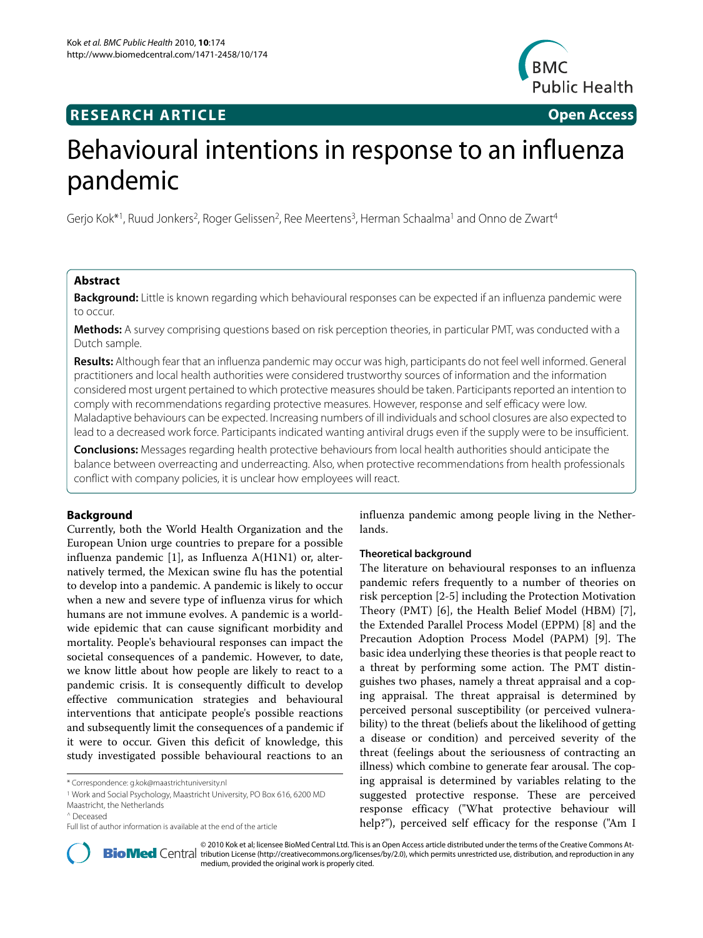## **RESEARCH ARTICLE Open Access**



# Behavioural intentions in response to an influenza pandemic

Gerio Kok<sup>\*1</sup>, Ruud Jonkers<sup>2</sup>, Roger Gelissen<sup>2</sup>, Ree Meertens<sup>3</sup>, Herman Schaalma<sup>1</sup> and Onno de Zwart<sup>4</sup>

### **Abstract**

**Background:** Little is known regarding which behavioural responses can be expected if an influenza pandemic were to occur.

**Methods:** A survey comprising questions based on risk perception theories, in particular PMT, was conducted with a Dutch sample.

**Results:** Although fear that an influenza pandemic may occur was high, participants do not feel well informed. General practitioners and local health authorities were considered trustworthy sources of information and the information considered most urgent pertained to which protective measures should be taken. Participants reported an intention to comply with recommendations regarding protective measures. However, response and self efficacy were low. Maladaptive behaviours can be expected. Increasing numbers of ill individuals and school closures are also expected to lead to a decreased work force. Participants indicated wanting antiviral drugs even if the supply were to be insufficient.

**Conclusions:** Messages regarding health protective behaviours from local health authorities should anticipate the balance between overreacting and underreacting. Also, when protective recommendations from health professionals conflict with company policies, it is unclear how employees will react.

### **Background**

Currently, both the World Health Organization and the European Union urge countries to prepare for a possible influenza pandemic [1], as Influenza A(H1N1) or, alternatively termed, the Mexican swine flu has the potential to develop into a pandemic. A pandemic is likely to occur when a new and severe type of influenza virus for which humans are not immune evolves. A pandemic is a worldwide epidemic that can cause significant morbidity and mortality. People's behavioural responses can impact the societal consequences of a pandemic. However, to date, we know little about how people are likely to react to a pandemic crisis. It is consequently difficult to develop effective communication strategies and behavioural interventions that anticipate people's possible reactions and subsequently limit the consequences of a pandemic if it were to occur. Given this deficit of knowledge, this study investigated possible behavioural reactions to an

influenza pandemic among people living in the Netherlands.

### **Theoretical background**

The literature on behavioural responses to an influenza pandemic refers frequently to a number of theories on risk perception [2-5] including the Protection Motivation Theory (PMT) [6], the Health Belief Model (HBM) [7], the Extended Parallel Process Model (EPPM) [8] and the Precaution Adoption Process Model (PAPM) [9]. The basic idea underlying these theories is that people react to a threat by performing some action. The PMT distinguishes two phases, namely a threat appraisal and a coping appraisal. The threat appraisal is determined by perceived personal susceptibility (or perceived vulnerability) to the threat (beliefs about the likelihood of getting a disease or condition) and perceived severity of the threat (feelings about the seriousness of contracting an illness) which combine to generate fear arousal. The coping appraisal is determined by variables relating to the suggested protective response. These are perceived response efficacy ("What protective behaviour will help?"), perceived self efficacy for the response ("Am I



© 2010 Kok et al; licensee BioMed Central Ltd. This is an Open Access article distributed under the terms of the Creative Commons At-<br>Bio Med Central tribution License (http://creativecommons.org/licenses/by/2.0), which p medium, provided the original work is properly cited.

<sup>\*</sup> Correspondence: g.kok@maastrichtuniversity.nl

<sup>1</sup> Work and Social Psychology, Maastricht University, PO Box 616, 6200 MD

Maastricht, the Netherlands

<sup>^</sup> Deceased

Full list of author information is available at the end of the article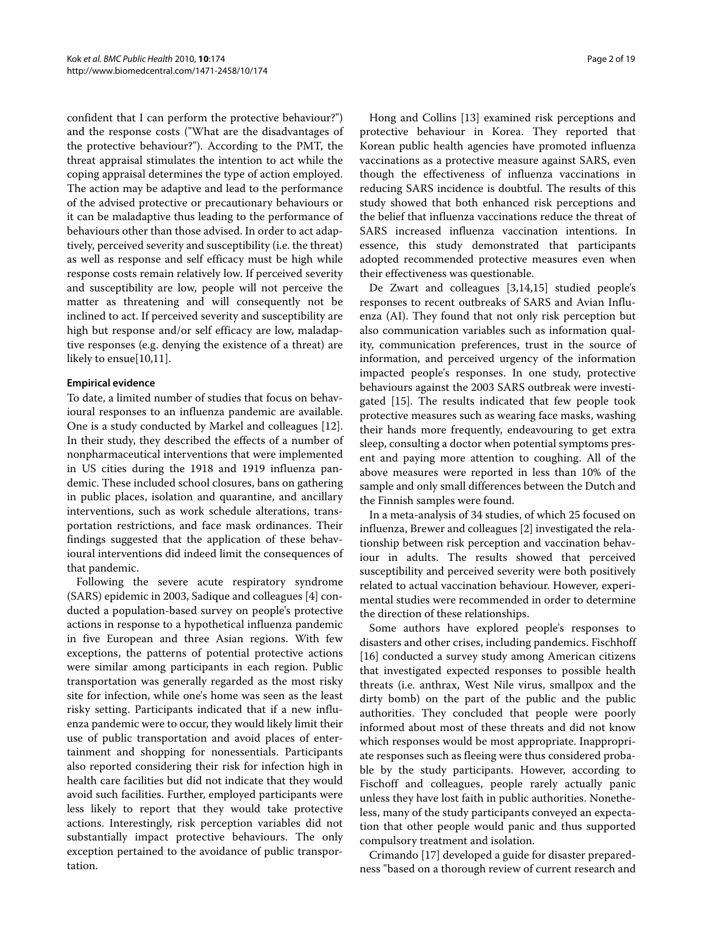confident that I can perform the protective behaviour?") and the response costs ("What are the disadvantages of the protective behaviour?"). According to the PMT, the threat appraisal stimulates the intention to act while the coping appraisal determines the type of action employed. The action may be adaptive and lead to the performance of the advised protective or precautionary behaviours or it can be maladaptive thus leading to the performance of behaviours other than those advised. In order to act adaptively, perceived severity and susceptibility (i.e. the threat) as well as response and self efficacy must be high while response costs remain relatively low. If perceived severity and susceptibility are low, people will not perceive the matter as threatening and will consequently not be inclined to act. If perceived severity and susceptibility are high but response and/or self efficacy are low, maladaptive responses (e.g. denying the existence of a threat) are likely to ensue[10,11].

### **Empirical evidence**

To date, a limited number of studies that focus on behavioural responses to an influenza pandemic are available. One is a study conducted by Markel and colleagues [12]. In their study, they described the effects of a number of nonpharmaceutical interventions that were implemented in US cities during the 1918 and 1919 influenza pandemic. These included school closures, bans on gathering in public places, isolation and quarantine, and ancillary interventions, such as work schedule alterations, transportation restrictions, and face mask ordinances. Their findings suggested that the application of these behavioural interventions did indeed limit the consequences of that pandemic.

Following the severe acute respiratory syndrome (SARS) epidemic in 2003, Sadique and colleagues [4] conducted a population-based survey on people's protective actions in response to a hypothetical influenza pandemic in five European and three Asian regions. With few exceptions, the patterns of potential protective actions were similar among participants in each region. Public transportation was generally regarded as the most risky site for infection, while one's home was seen as the least risky setting. Participants indicated that if a new influenza pandemic were to occur, they would likely limit their use of public transportation and avoid places of entertainment and shopping for nonessentials. Participants also reported considering their risk for infection high in health care facilities but did not indicate that they would avoid such facilities. Further, employed participants were less likely to report that they would take protective actions. Interestingly, risk perception variables did not substantially impact protective behaviours. The only exception pertained to the avoidance of public transportation.

Hong and Collins [13] examined risk perceptions and protective behaviour in Korea. They reported that Korean public health agencies have promoted influenza vaccinations as a protective measure against SARS, even though the effectiveness of influenza vaccinations in reducing SARS incidence is doubtful. The results of this study showed that both enhanced risk perceptions and the belief that influenza vaccinations reduce the threat of SARS increased influenza vaccination intentions. In essence, this study demonstrated that participants adopted recommended protective measures even when their effectiveness was questionable.

De Zwart and colleagues [3,14,15] studied people's responses to recent outbreaks of SARS and Avian Influenza (AI). They found that not only risk perception but also communication variables such as information quality, communication preferences, trust in the source of information, and perceived urgency of the information impacted people's responses. In one study, protective behaviours against the 2003 SARS outbreak were investigated [15]. The results indicated that few people took protective measures such as wearing face masks, washing their hands more frequently, endeavouring to get extra sleep, consulting a doctor when potential symptoms present and paying more attention to coughing. All of the above measures were reported in less than 10% of the sample and only small differences between the Dutch and the Finnish samples were found.

In a meta-analysis of 34 studies, of which 25 focused on influenza, Brewer and colleagues [2] investigated the relationship between risk perception and vaccination behaviour in adults. The results showed that perceived susceptibility and perceived severity were both positively related to actual vaccination behaviour. However, experimental studies were recommended in order to determine the direction of these relationships.

Some authors have explored people's responses to disasters and other crises, including pandemics. Fischhoff [16] conducted a survey study among American citizens that investigated expected responses to possible health threats (i.e. anthrax, West Nile virus, smallpox and the dirty bomb) on the part of the public and the public authorities. They concluded that people were poorly informed about most of these threats and did not know which responses would be most appropriate. Inappropriate responses such as fleeing were thus considered probable by the study participants. However, according to Fischoff and colleagues, people rarely actually panic unless they have lost faith in public authorities. Nonetheless, many of the study participants conveyed an expectation that other people would panic and thus supported compulsory treatment and isolation.

Crimando [17] developed a guide for disaster preparedness "based on a thorough review of current research and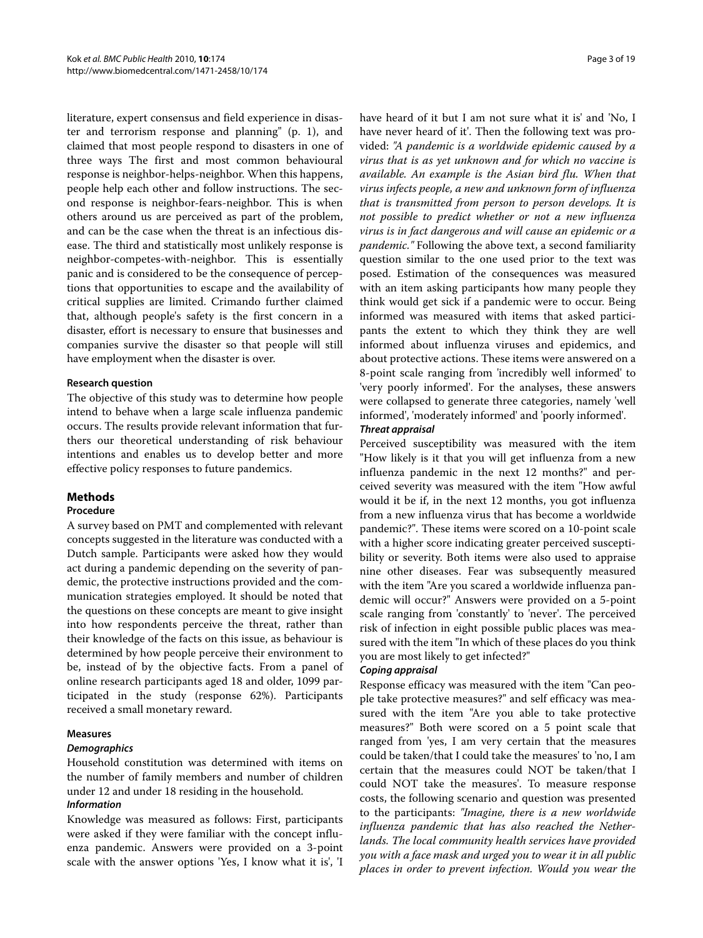literature, expert consensus and field experience in disaster and terrorism response and planning" (p. 1), and claimed that most people respond to disasters in one of three ways The first and most common behavioural response is neighbor-helps-neighbor. When this happens, people help each other and follow instructions. The second response is neighbor-fears-neighbor. This is when others around us are perceived as part of the problem, and can be the case when the threat is an infectious disease. The third and statistically most unlikely response is neighbor-competes-with-neighbor. This is essentially panic and is considered to be the consequence of perceptions that opportunities to escape and the availability of critical supplies are limited. Crimando further claimed that, although people's safety is the first concern in a disaster, effort is necessary to ensure that businesses and companies survive the disaster so that people will still have employment when the disaster is over.

#### **Research question**

The objective of this study was to determine how people intend to behave when a large scale influenza pandemic occurs. The results provide relevant information that furthers our theoretical understanding of risk behaviour intentions and enables us to develop better and more effective policy responses to future pandemics.

### **Methods**

#### **Procedure**

A survey based on PMT and complemented with relevant concepts suggested in the literature was conducted with a Dutch sample. Participants were asked how they would act during a pandemic depending on the severity of pandemic, the protective instructions provided and the communication strategies employed. It should be noted that the questions on these concepts are meant to give insight into how respondents perceive the threat, rather than their knowledge of the facts on this issue, as behaviour is determined by how people perceive their environment to be, instead of by the objective facts. From a panel of online research participants aged 18 and older, 1099 participated in the study (response 62%). Participants received a small monetary reward.

### **Measures**

*Demographics* Household constitution was determined with items on the number of family members and number of children under 12 and under 18 residing in the household.

*Information* Knowledge was measured as follows: First, participants were asked if they were familiar with the concept influenza pandemic. Answers were provided on a 3-point scale with the answer options 'Yes, I know what it is', 'I have heard of it but I am not sure what it is' and 'No, I have never heard of it'. Then the following text was provided: *"A pandemic is a worldwide epidemic caused by a virus that is as yet unknown and for which no vaccine is available. An example is the Asian bird flu. When that virus infects people, a new and unknown form of influenza that is transmitted from person to person develops. It is not possible to predict whether or not a new influenza virus is in fact dangerous and will cause an epidemic or a pandemic."* Following the above text, a second familiarity question similar to the one used prior to the text was posed. Estimation of the consequences was measured with an item asking participants how many people they think would get sick if a pandemic were to occur. Being informed was measured with items that asked participants the extent to which they think they are well informed about influenza viruses and epidemics, and about protective actions. These items were answered on a 8-point scale ranging from 'incredibly well informed' to 'very poorly informed'. For the analyses, these answers were collapsed to generate three categories, namely 'well informed', 'moderately informed' and 'poorly informed'.

*Threat appraisal* Perceived susceptibility was measured with the item "How likely is it that you will get influenza from a new influenza pandemic in the next 12 months?" and perceived severity was measured with the item "How awful would it be if, in the next 12 months, you got influenza from a new influenza virus that has become a worldwide pandemic?". These items were scored on a 10-point scale with a higher score indicating greater perceived susceptibility or severity. Both items were also used to appraise nine other diseases. Fear was subsequently measured with the item "Are you scared a worldwide influenza pandemic will occur?" Answers were provided on a 5-point scale ranging from 'constantly' to 'never'. The perceived risk of infection in eight possible public places was measured with the item "In which of these places do you think you are most likely to get infected?"

*Coping appraisal* Response efficacy was measured with the item "Can people take protective measures?" and self efficacy was measured with the item "Are you able to take protective measures?" Both were scored on a 5 point scale that ranged from 'yes, I am very certain that the measures could be taken/that I could take the measures' to 'no, I am certain that the measures could NOT be taken/that I could NOT take the measures'. To measure response costs, the following scenario and question was presented to the participants: *"Imagine, there is a new worldwide influenza pandemic that has also reached the Netherlands. The local community health services have provided you with a face mask and urged you to wear it in all public places in order to prevent infection. Would you wear the*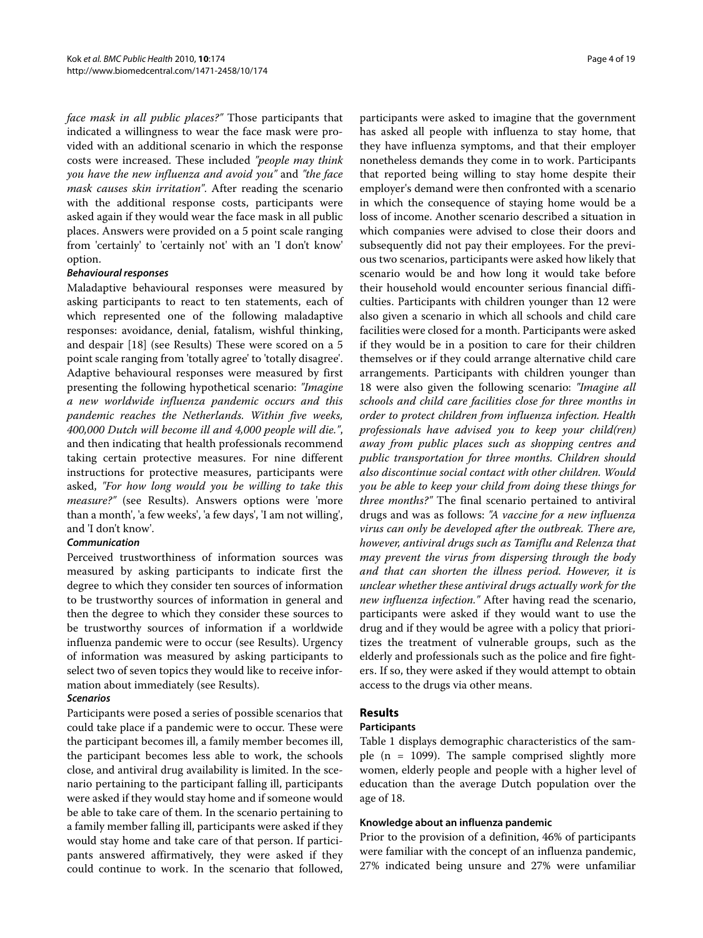*face mask in all public places?"* Those participants that indicated a willingness to wear the face mask were provided with an additional scenario in which the response costs were increased. These included *"people may think you have the new influenza and avoid you"* and *"the face mask causes skin irritation"*. After reading the scenario with the additional response costs, participants were asked again if they would wear the face mask in all public places. Answers were provided on a 5 point scale ranging from 'certainly' to 'certainly not' with an 'I don't know' option.

*Behavioural responses* Maladaptive behavioural responses were measured by asking participants to react to ten statements, each of which represented one of the following maladaptive responses: avoidance, denial, fatalism, wishful thinking, and despair [18] (see Results) These were scored on a 5 point scale ranging from 'totally agree' to 'totally disagree'. Adaptive behavioural responses were measured by first presenting the following hypothetical scenario: *"Imagine a new worldwide influenza pandemic occurs and this pandemic reaches the Netherlands. Within five weeks, 400,000 Dutch will become ill and 4,000 people will die."*, and then indicating that health professionals recommend taking certain protective measures. For nine different instructions for protective measures, participants were asked, *"For how long would you be willing to take this measure?"* (see Results). Answers options were 'more than a month', 'a few weeks', 'a few days', 'I am not willing', and 'I don't know'.

### Communication

*Communication* Perceived trustworthiness of information sources was measured by asking participants to indicate first the degree to which they consider ten sources of information to be trustworthy sources of information in general and then the degree to which they consider these sources to be trustworthy sources of information if a worldwide influenza pandemic were to occur (see Results). Urgency of information was measured by asking participants to select two of seven topics they would like to receive information about immediately (see Results).

*Scenarios* Participants were posed a series of possible scenarios that could take place if a pandemic were to occur. These were the participant becomes ill, a family member becomes ill, the participant becomes less able to work, the schools close, and antiviral drug availability is limited. In the scenario pertaining to the participant falling ill, participants were asked if they would stay home and if someone would be able to take care of them. In the scenario pertaining to a family member falling ill, participants were asked if they would stay home and take care of that person. If participants answered affirmatively, they were asked if they could continue to work. In the scenario that followed,

participants were asked to imagine that the government has asked all people with influenza to stay home, that they have influenza symptoms, and that their employer nonetheless demands they come in to work. Participants that reported being willing to stay home despite their employer's demand were then confronted with a scenario in which the consequence of staying home would be a loss of income. Another scenario described a situation in which companies were advised to close their doors and subsequently did not pay their employees. For the previous two scenarios, participants were asked how likely that scenario would be and how long it would take before their household would encounter serious financial difficulties. Participants with children younger than 12 were also given a scenario in which all schools and child care facilities were closed for a month. Participants were asked if they would be in a position to care for their children themselves or if they could arrange alternative child care arrangements. Participants with children younger than 18 were also given the following scenario: *"Imagine all schools and child care facilities close for three months in order to protect children from influenza infection. Health professionals have advised you to keep your child(ren) away from public places such as shopping centres and public transportation for three months. Children should also discontinue social contact with other children. Would you be able to keep your child from doing these things for three months?"* The final scenario pertained to antiviral drugs and was as follows: *"A vaccine for a new influenza virus can only be developed after the outbreak. There are, however, antiviral drugs such as Tamiflu and Relenza that may prevent the virus from dispersing through the body and that can shorten the illness period. However, it is unclear whether these antiviral drugs actually work for the new influenza infection."* After having read the scenario, participants were asked if they would want to use the drug and if they would be agree with a policy that prioritizes the treatment of vulnerable groups, such as the elderly and professionals such as the police and fire fighters. If so, they were asked if they would attempt to obtain access to the drugs via other means.

### **Results**

#### **Participants**

Table 1 displays demographic characteristics of the sample (n = 1099). The sample comprised slightly more women, elderly people and people with a higher level of education than the average Dutch population over the age of 18.

#### **Knowledge about an influenza pandemic**

Prior to the provision of a definition, 46% of participants were familiar with the concept of an influenza pandemic, 27% indicated being unsure and 27% were unfamiliar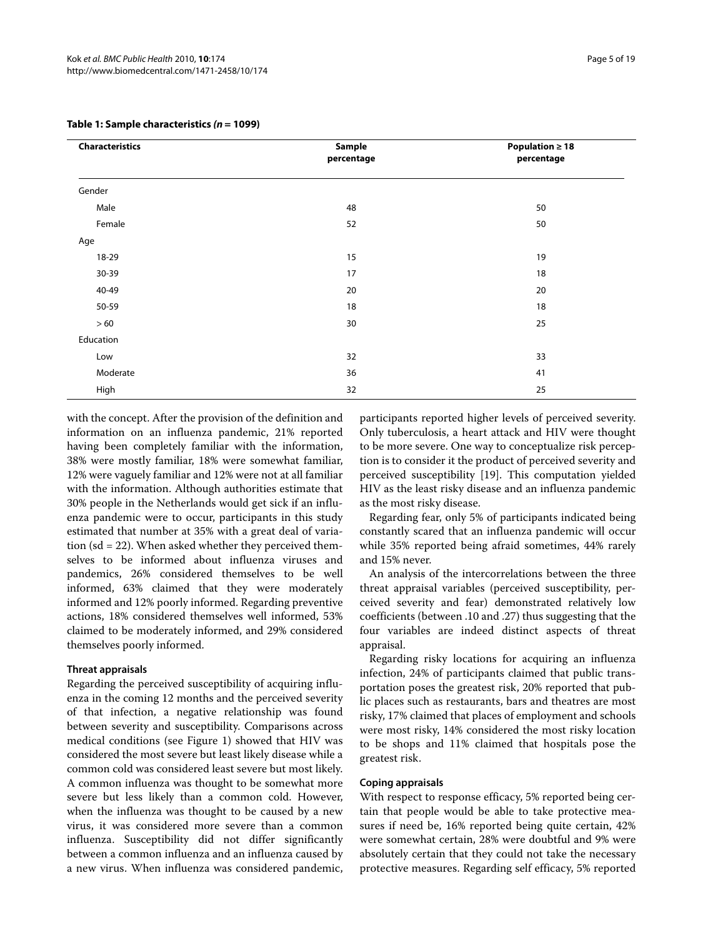| <b>Characteristics</b> | Sample<br>percentage | Population $\geq 18$<br>percentage |
|------------------------|----------------------|------------------------------------|
|                        |                      |                                    |
| Gender                 |                      |                                    |
| Male                   | 48                   | 50                                 |
| Female                 | 52                   | 50                                 |
| Age                    |                      |                                    |
| 18-29                  | 15                   | 19                                 |
| 30-39                  | 17                   | 18                                 |
| 40-49                  | 20                   | 20                                 |
| 50-59                  | 18                   | 18                                 |
| >60                    | 30                   | 25                                 |
| Education              |                      |                                    |
| Low                    | 32                   | 33                                 |

Moderate and the set of the set of the set of the set of the set of the set of the set of the set of the set of the set of the set of the set of the set of the set of the set of the set of the set of the set of the set of High 32 25

#### **Table 1: Sample characteristics** *(n* **= 1099)**

with the concept. After the provision of the definition and information on an influenza pandemic, 21% reported having been completely familiar with the information, 38% were mostly familiar, 18% were somewhat familiar, 12% were vaguely familiar and 12% were not at all familiar with the information. Although authorities estimate that 30% people in the Netherlands would get sick if an influenza pandemic were to occur, participants in this study estimated that number at 35% with a great deal of variation (sd = 22). When asked whether they perceived themselves to be informed about influenza viruses and pandemics, 26% considered themselves to be well informed, 63% claimed that they were moderately informed and 12% poorly informed. Regarding preventive actions, 18% considered themselves well informed, 53% claimed to be moderately informed, and 29% considered themselves poorly informed.

### **Threat appraisals**

Regarding the perceived susceptibility of acquiring influenza in the coming 12 months and the perceived severity of that infection, a negative relationship was found between severity and susceptibility. Comparisons across medical conditions (see Figure 1) showed that HIV was considered the most severe but least likely disease while a common cold was considered least severe but most likely. A common influenza was thought to be somewhat more severe but less likely than a common cold. However, when the influenza was thought to be caused by a new virus, it was considered more severe than a common influenza. Susceptibility did not differ significantly between a common influenza and an influenza caused by a new virus. When influenza was considered pandemic, participants reported higher levels of perceived severity. Only tuberculosis, a heart attack and HIV were thought to be more severe. One way to conceptualize risk perception is to consider it the product of perceived severity and perceived susceptibility [19]. This computation yielded HIV as the least risky disease and an influenza pandemic as the most risky disease.

Regarding fear, only 5% of participants indicated being constantly scared that an influenza pandemic will occur while 35% reported being afraid sometimes, 44% rarely and 15% never.

An analysis of the intercorrelations between the three threat appraisal variables (perceived susceptibility, perceived severity and fear) demonstrated relatively low coefficients (between .10 and .27) thus suggesting that the four variables are indeed distinct aspects of threat appraisal.

Regarding risky locations for acquiring an influenza infection, 24% of participants claimed that public transportation poses the greatest risk, 20% reported that public places such as restaurants, bars and theatres are most risky, 17% claimed that places of employment and schools were most risky, 14% considered the most risky location to be shops and 11% claimed that hospitals pose the greatest risk.

### **Coping appraisals**

With respect to response efficacy, 5% reported being certain that people would be able to take protective measures if need be, 16% reported being quite certain, 42% were somewhat certain, 28% were doubtful and 9% were absolutely certain that they could not take the necessary protective measures. Regarding self efficacy, 5% reported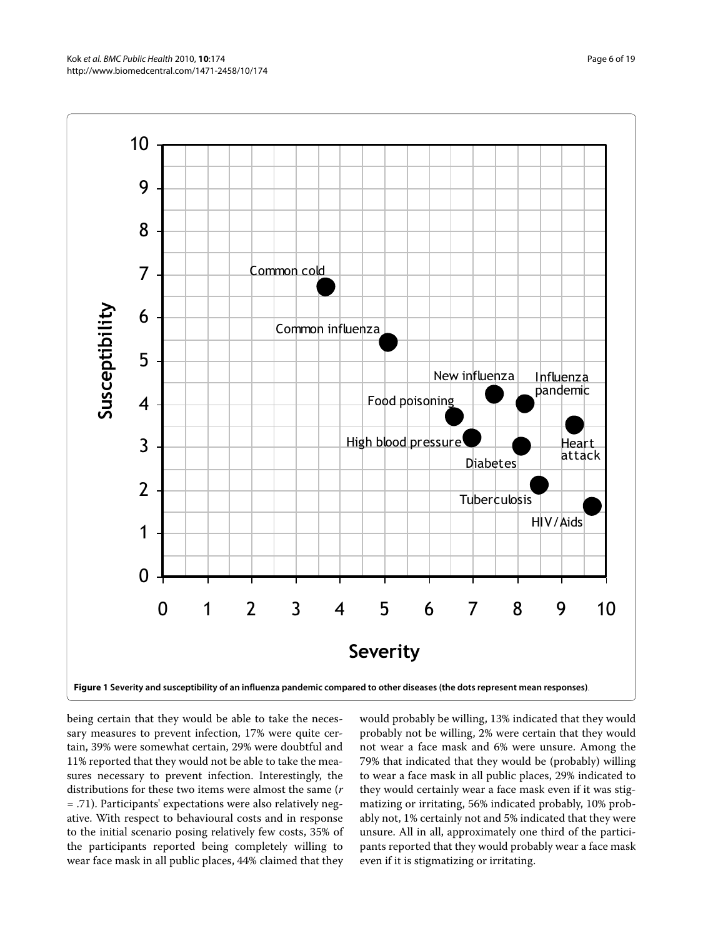

being certain that they would be able to take the necessary measures to prevent infection, 17% were quite certain, 39% were somewhat certain, 29% were doubtful and 11% reported that they would not be able to take the measures necessary to prevent infection. Interestingly, the distributions for these two items were almost the same (*r* = .71). Participants' expectations were also relatively negative. With respect to behavioural costs and in response to the initial scenario posing relatively few costs, 35% of the participants reported being completely willing to wear face mask in all public places, 44% claimed that they

would probably be willing, 13% indicated that they would probably not be willing, 2% were certain that they would not wear a face mask and 6% were unsure. Among the 79% that indicated that they would be (probably) willing to wear a face mask in all public places, 29% indicated to they would certainly wear a face mask even if it was stigmatizing or irritating, 56% indicated probably, 10% probably not, 1% certainly not and 5% indicated that they were unsure. All in all, approximately one third of the participants reported that they would probably wear a face mask even if it is stigmatizing or irritating.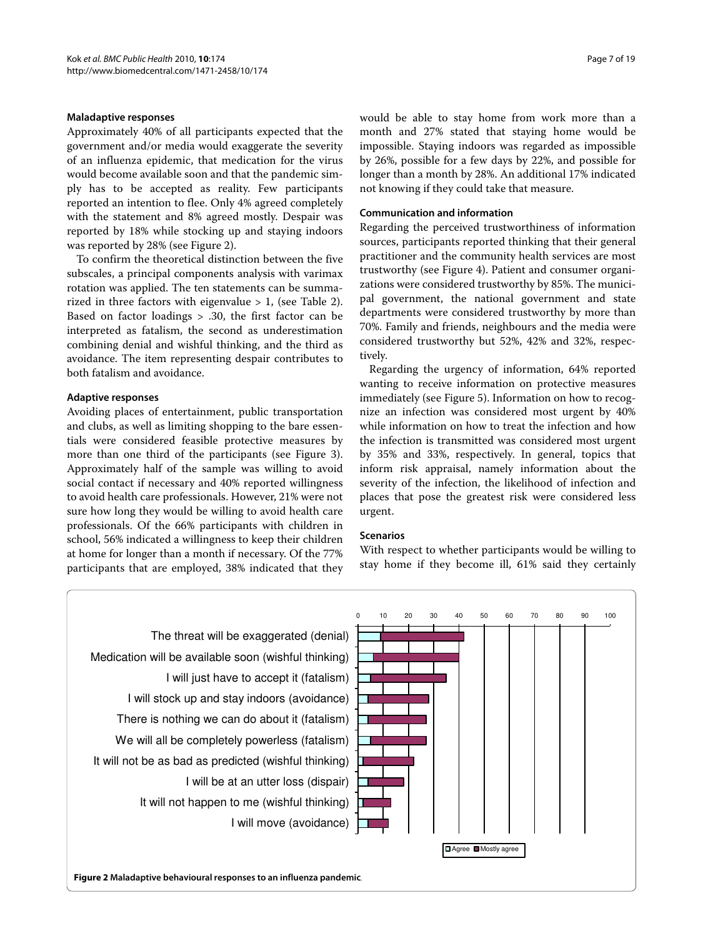### **Maladaptive responses**

Approximately 40% of all participants expected that the government and/or media would exaggerate the severity of an influenza epidemic, that medication for the virus would become available soon and that the pandemic simply has to be accepted as reality. Few participants reported an intention to flee. Only 4% agreed completely with the statement and 8% agreed mostly. Despair was reported by 18% while stocking up and staying indoors was reported by 28% (see Figure 2).

To confirm the theoretical distinction between the five subscales, a principal components analysis with varimax rotation was applied. The ten statements can be summarized in three factors with eigenvalue  $> 1$ , (see Table 2). Based on factor loadings > .30, the first factor can be interpreted as fatalism, the second as underestimation combining denial and wishful thinking, and the third as avoidance. The item representing despair contributes to both fatalism and avoidance.

#### **Adaptive responses**

Avoiding places of entertainment, public transportation and clubs, as well as limiting shopping to the bare essentials were considered feasible protective measures by more than one third of the participants (see Figure 3). Approximately half of the sample was willing to avoid social contact if necessary and 40% reported willingness to avoid health care professionals. However, 21% were not sure how long they would be willing to avoid health care professionals. Of the 66% participants with children in school, 56% indicated a willingness to keep their children at home for longer than a month if necessary. Of the 77% participants that are employed, 38% indicated that they would be able to stay home from work more than a month and 27% stated that staying home would be impossible. Staying indoors was regarded as impossible by 26%, possible for a few days by 22%, and possible for longer than a month by 28%. An additional 17% indicated not knowing if they could take that measure.

#### **Communication and information**

Regarding the perceived trustworthiness of information sources, participants reported thinking that their general practitioner and the community health services are most trustworthy (see Figure 4). Patient and consumer organizations were considered trustworthy by 85%. The municipal government, the national government and state departments were considered trustworthy by more than 70%. Family and friends, neighbours and the media were considered trustworthy but 52%, 42% and 32%, respectively.

Regarding the urgency of information, 64% reported wanting to receive information on protective measures immediately (see Figure 5). Information on how to recognize an infection was considered most urgent by 40% while information on how to treat the infection and how the infection is transmitted was considered most urgent by 35% and 33%, respectively. In general, topics that inform risk appraisal, namely information about the severity of the infection, the likelihood of infection and places that pose the greatest risk were considered less urgent.

#### **Scenarios**

With respect to whether participants would be willing to stay home if they become ill, 61% said they certainly

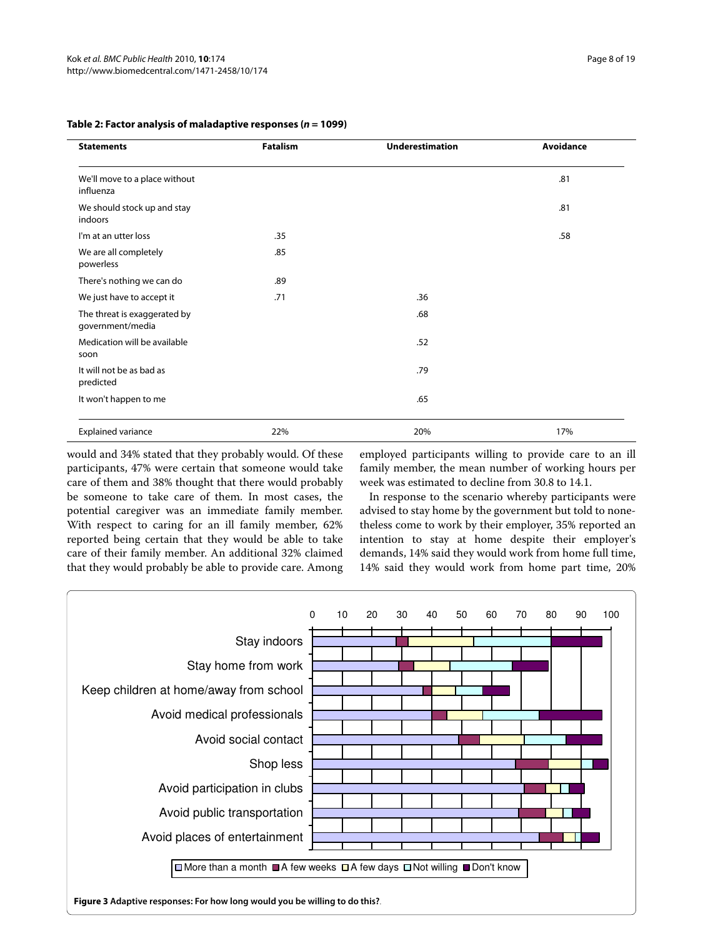| <b>Statements</b>                                | <b>Fatalism</b> | <b>Underestimation</b> | <b>Avoidance</b> |
|--------------------------------------------------|-----------------|------------------------|------------------|
| We'll move to a place without<br>influenza       |                 |                        | .81              |
| We should stock up and stay<br>indoors           |                 |                        | .81              |
| I'm at an utter loss                             | .35             |                        | .58              |
| We are all completely<br>powerless               | .85             |                        |                  |
| There's nothing we can do                        | .89             |                        |                  |
| We just have to accept it                        | .71             | .36                    |                  |
| The threat is exaggerated by<br>government/media |                 | .68                    |                  |
| Medication will be available<br>soon             |                 | .52                    |                  |
| It will not be as bad as<br>predicted            |                 | .79                    |                  |
| It won't happen to me                            |                 | .65                    |                  |
| <b>Explained variance</b>                        | 22%             | 20%                    | 17%              |

#### **Table 2: Factor analysis of maladaptive responses (***n* **= 1099)**

would and 34% stated that they probably would. Of these participants, 47% were certain that someone would take care of them and 38% thought that there would probably be someone to take care of them. In most cases, the potential caregiver was an immediate family member. With respect to caring for an ill family member, 62% reported being certain that they would be able to take care of their family member. An additional 32% claimed that they would probably be able to provide care. Among employed participants willing to provide care to an ill family member, the mean number of working hours per week was estimated to decline from 30.8 to 14.1.

In response to the scenario whereby participants were advised to stay home by the government but told to nonetheless come to work by their employer, 35% reported an intention to stay at home despite their employer's demands, 14% said they would work from home full time, 14% said they would work from home part time, 20%

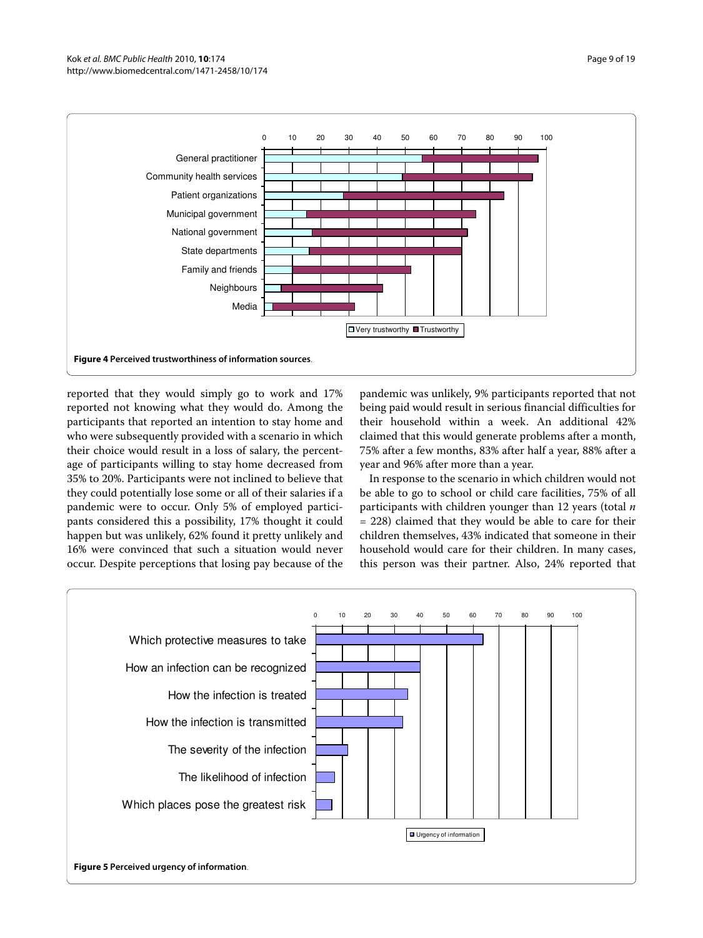

reported that they would simply go to work and 17% reported not knowing what they would do. Among the participants that reported an intention to stay home and who were subsequently provided with a scenario in which their choice would result in a loss of salary, the percentage of participants willing to stay home decreased from 35% to 20%. Participants were not inclined to believe that they could potentially lose some or all of their salaries if a pandemic were to occur. Only 5% of employed participants considered this a possibility, 17% thought it could happen but was unlikely, 62% found it pretty unlikely and 16% were convinced that such a situation would never occur. Despite perceptions that losing pay because of the

pandemic was unlikely, 9% participants reported that not being paid would result in serious financial difficulties for their household within a week. An additional 42% claimed that this would generate problems after a month, 75% after a few months, 83% after half a year, 88% after a year and 96% after more than a year.

In response to the scenario in which children would not be able to go to school or child care facilities, 75% of all participants with children younger than 12 years (total *n* = 228) claimed that they would be able to care for their children themselves, 43% indicated that someone in their household would care for their children. In many cases, this person was their partner. Also, 24% reported that

![](_page_8_Figure_5.jpeg)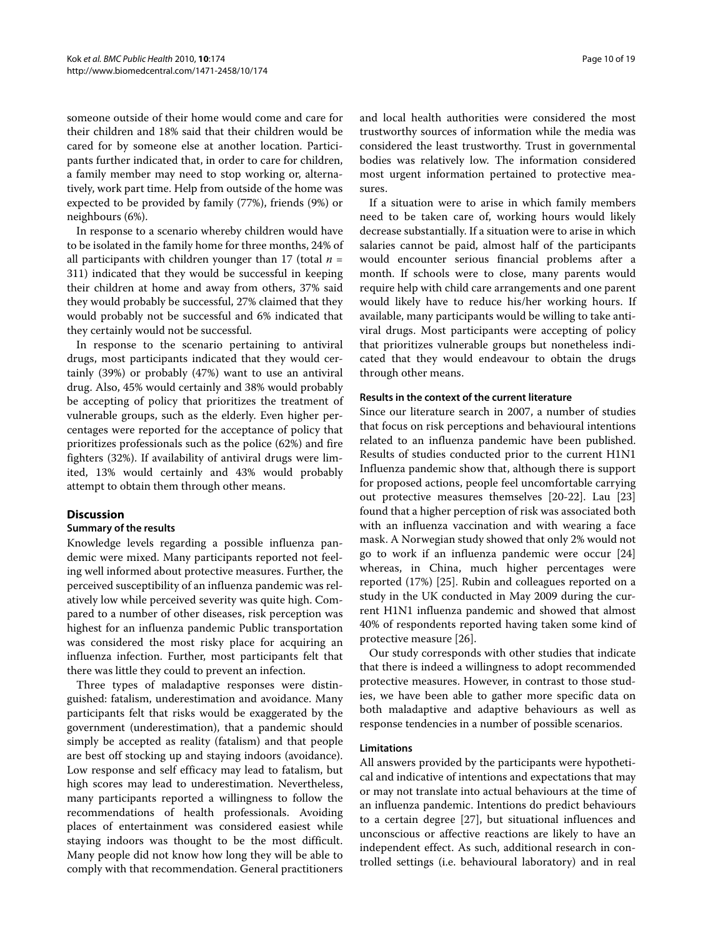someone outside of their home would come and care for their children and 18% said that their children would be cared for by someone else at another location. Participants further indicated that, in order to care for children, a family member may need to stop working or, alternatively, work part time. Help from outside of the home was expected to be provided by family (77%), friends (9%) or neighbours (6%).

In response to a scenario whereby children would have to be isolated in the family home for three months, 24% of all participants with children younger than 17 (total *n* = 311) indicated that they would be successful in keeping their children at home and away from others, 37% said they would probably be successful, 27% claimed that they would probably not be successful and 6% indicated that they certainly would not be successful.

In response to the scenario pertaining to antiviral drugs, most participants indicated that they would certainly (39%) or probably (47%) want to use an antiviral drug. Also, 45% would certainly and 38% would probably be accepting of policy that prioritizes the treatment of vulnerable groups, such as the elderly. Even higher percentages were reported for the acceptance of policy that prioritizes professionals such as the police (62%) and fire fighters (32%). If availability of antiviral drugs were limited, 13% would certainly and 43% would probably attempt to obtain them through other means.

### **Discussion**

#### **Summary of the results**

Knowledge levels regarding a possible influenza pandemic were mixed. Many participants reported not feeling well informed about protective measures. Further, the perceived susceptibility of an influenza pandemic was relatively low while perceived severity was quite high. Compared to a number of other diseases, risk perception was highest for an influenza pandemic Public transportation was considered the most risky place for acquiring an influenza infection. Further, most participants felt that there was little they could to prevent an infection.

Three types of maladaptive responses were distinguished: fatalism, underestimation and avoidance. Many participants felt that risks would be exaggerated by the government (underestimation), that a pandemic should simply be accepted as reality (fatalism) and that people are best off stocking up and staying indoors (avoidance). Low response and self efficacy may lead to fatalism, but high scores may lead to underestimation. Nevertheless, many participants reported a willingness to follow the recommendations of health professionals. Avoiding places of entertainment was considered easiest while staying indoors was thought to be the most difficult. Many people did not know how long they will be able to comply with that recommendation. General practitioners

and local health authorities were considered the most trustworthy sources of information while the media was considered the least trustworthy. Trust in governmental bodies was relatively low. The information considered most urgent information pertained to protective measures.

If a situation were to arise in which family members need to be taken care of, working hours would likely decrease substantially. If a situation were to arise in which salaries cannot be paid, almost half of the participants would encounter serious financial problems after a month. If schools were to close, many parents would require help with child care arrangements and one parent would likely have to reduce his/her working hours. If available, many participants would be willing to take antiviral drugs. Most participants were accepting of policy that prioritizes vulnerable groups but nonetheless indicated that they would endeavour to obtain the drugs through other means.

#### **Results in the context of the current literature**

Since our literature search in 2007, a number of studies that focus on risk perceptions and behavioural intentions related to an influenza pandemic have been published. Results of studies conducted prior to the current H1N1 Influenza pandemic show that, although there is support for proposed actions, people feel uncomfortable carrying out protective measures themselves [20-22]. Lau [23] found that a higher perception of risk was associated both with an influenza vaccination and with wearing a face mask. A Norwegian study showed that only 2% would not go to work if an influenza pandemic were occur [24] whereas, in China, much higher percentages were reported (17%) [25]. Rubin and colleagues reported on a study in the UK conducted in May 2009 during the current H1N1 influenza pandemic and showed that almost 40% of respondents reported having taken some kind of protective measure [26].

Our study corresponds with other studies that indicate that there is indeed a willingness to adopt recommended protective measures. However, in contrast to those studies, we have been able to gather more specific data on both maladaptive and adaptive behaviours as well as response tendencies in a number of possible scenarios.

#### **Limitations**

All answers provided by the participants were hypothetical and indicative of intentions and expectations that may or may not translate into actual behaviours at the time of an influenza pandemic. Intentions do predict behaviours to a certain degree [27], but situational influences and unconscious or affective reactions are likely to have an independent effect. As such, additional research in controlled settings (i.e. behavioural laboratory) and in real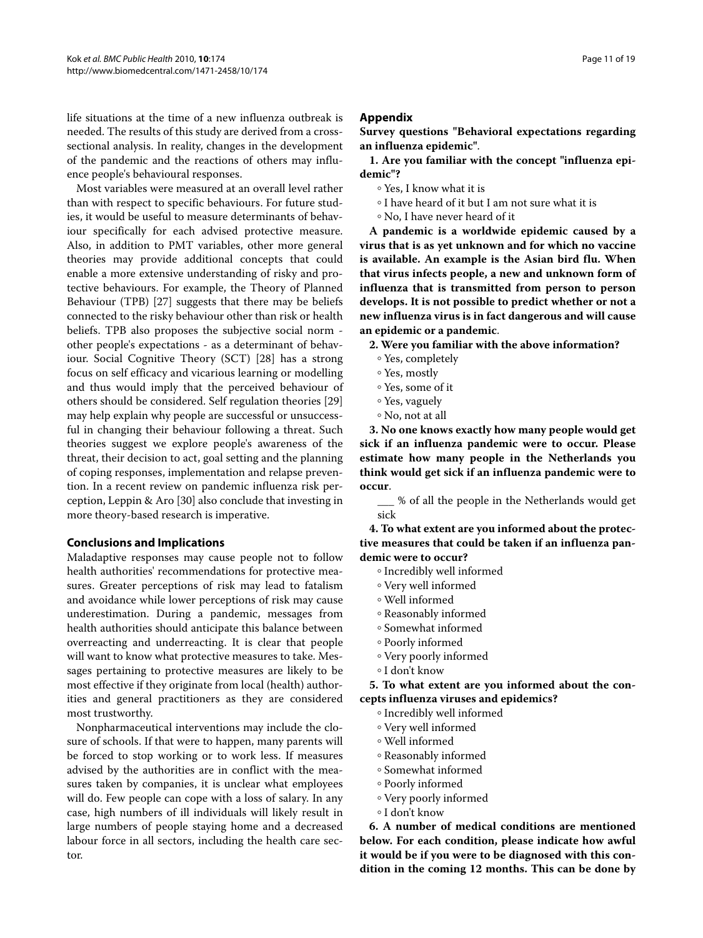life situations at the time of a new influenza outbreak is needed. The results of this study are derived from a crosssectional analysis. In reality, changes in the development of the pandemic and the reactions of others may influence people's behavioural responses.

Most variables were measured at an overall level rather than with respect to specific behaviours. For future studies, it would be useful to measure determinants of behaviour specifically for each advised protective measure. Also, in addition to PMT variables, other more general theories may provide additional concepts that could enable a more extensive understanding of risky and protective behaviours. For example, the Theory of Planned Behaviour (TPB) [27] suggests that there may be beliefs connected to the risky behaviour other than risk or health beliefs. TPB also proposes the subjective social norm other people's expectations - as a determinant of behaviour. Social Cognitive Theory (SCT) [28] has a strong focus on self efficacy and vicarious learning or modelling and thus would imply that the perceived behaviour of others should be considered. Self regulation theories [29] may help explain why people are successful or unsuccessful in changing their behaviour following a threat. Such theories suggest we explore people's awareness of the threat, their decision to act, goal setting and the planning of coping responses, implementation and relapse prevention. In a recent review on pandemic influenza risk perception, Leppin & Aro [30] also conclude that investing in more theory-based research is imperative.

#### **Conclusions and Implications**

Maladaptive responses may cause people not to follow health authorities' recommendations for protective measures. Greater perceptions of risk may lead to fatalism and avoidance while lower perceptions of risk may cause underestimation. During a pandemic, messages from health authorities should anticipate this balance between overreacting and underreacting. It is clear that people will want to know what protective measures to take. Messages pertaining to protective measures are likely to be most effective if they originate from local (health) authorities and general practitioners as they are considered most trustworthy.

Nonpharmaceutical interventions may include the closure of schools. If that were to happen, many parents will be forced to stop working or to work less. If measures advised by the authorities are in conflict with the measures taken by companies, it is unclear what employees will do. Few people can cope with a loss of salary. In any case, high numbers of ill individuals will likely result in large numbers of people staying home and a decreased labour force in all sectors, including the health care sector.

#### Page 11 of 19

#### **Appendix**

**Survey questions "Behavioral expectations regarding an influenza epidemic"**.

**1. Are you familiar with the concept "influenza epidemic"?**

- Yes, I know what it is
- I have heard of it but I am not sure what it is
- No, I have never heard of it

**A pandemic is a worldwide epidemic caused by a virus that is as yet unknown and for which no vaccine is available. An example is the Asian bird flu. When that virus infects people, a new and unknown form of influenza that is transmitted from person to person develops. It is not possible to predict whether or not a new influenza virus is in fact dangerous and will cause an epidemic or a pandemic**.

**2. Were you familiar with the above information?**

- <sup>o</sup> Yes, completely
- Yes, mostly
- ∘ Yes, some of it
- <sup>o</sup> Yes, vaguely
- $\circ$  No, not at all

**3. No one knows exactly how many people would get sick if an influenza pandemic were to occur. Please estimate how many people in the Netherlands you think would get sick if an influenza pandemic were to occur**.

\_\_\_ % of all the people in the Netherlands would get sick

**4. To what extent are you informed about the protective measures that could be taken if an influenza pandemic were to occur?**

- Incredibly well informed
- Very well informed
- Well informed
- Reasonably informed
- Somewhat informed
- Poorly informed
- Very poorly informed
- I don't know

**5. To what extent are you informed about the concepts influenza viruses and epidemics?**

- Incredibly well informed

- Very well informed
- Well informed
- Reasonably informed
- Somewhat informed
- Poorly informed
- Very poorly informed
- I don't know

**6. A number of medical conditions are mentioned below. For each condition, please indicate how awful it would be if you were to be diagnosed with this condition in the coming 12 months. This can be done by**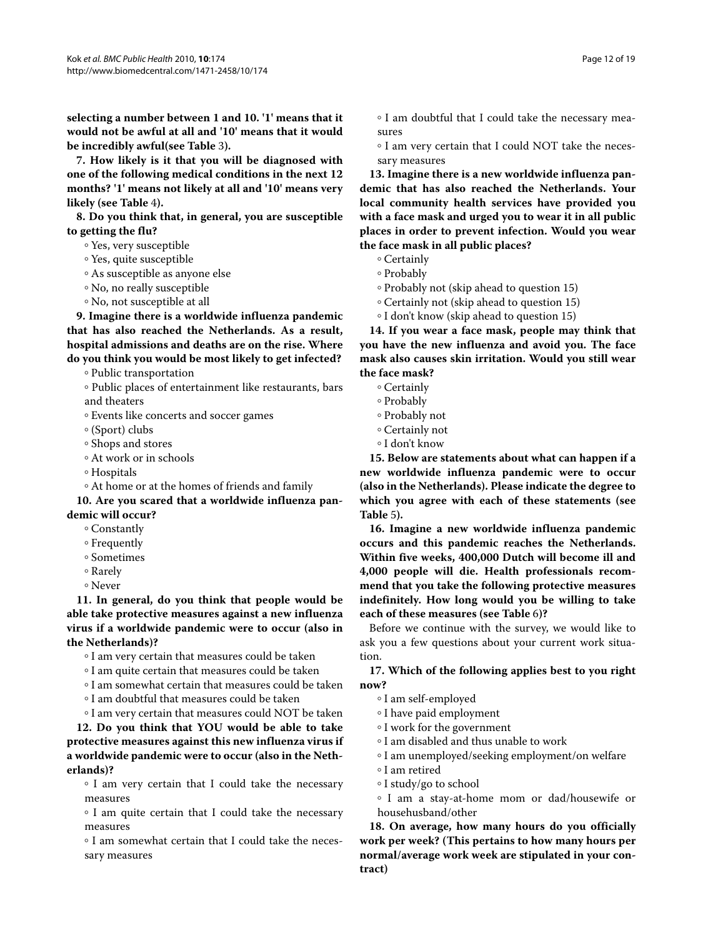**selecting a number between 1 and 10. '1' means that it would not be awful at all and '10' means that it would be incredibly awful(see Table** 3**).**

**7. How likely is it that you will be diagnosed with one of the following medical conditions in the next 12 months? '1' means not likely at all and '10' means very likely (see Table** 4**).**

**8. Do you think that, in general, you are susceptible to getting the flu?**

- <sup>o</sup> Yes, very susceptible
- <sup>o</sup> Yes, quite susceptible
- As susceptible as anyone else
- No, no really susceptible
- No, not susceptible at all

**9. Imagine there is a worldwide influenza pandemic that has also reached the Netherlands. As a result, hospital admissions and deaths are on the rise. Where do you think you would be most likely to get infected?**

- Public transportation

- Public places of entertainment like restaurants, bars and theaters

- Events like concerts and soccer games
- (Sport) clubs
- Shops and stores
- **At work or in schools**
- Hospitals
- o At home or at the homes of friends and family

**10. Are you scared that a worldwide influenza pandemic will occur?**

- <sup>o</sup> Constantly
- <sup>o</sup> Frequently
- Sometimes
- <sup>o</sup> Rarely
- **o** Never

**11. In general, do you think that people would be able take protective measures against a new influenza virus if a worldwide pandemic were to occur (also in the Netherlands)?**

- I am very certain that measures could be taken
- I am quite certain that measures could be taken
- I am somewhat certain that measures could be taken
- I am doubtful that measures could be taken

- I am very certain that measures could NOT be taken

**12. Do you think that YOU would be able to take protective measures against this new influenza virus if a worldwide pandemic were to occur (also in the Netherlands)?**

- I am very certain that I could take the necessary measures

- I am quite certain that I could take the necessary measures

- I am somewhat certain that I could take the necessary measures

- I am doubtful that I could take the necessary measures

- I am very certain that I could NOT take the necessary measures

**13. Imagine there is a new worldwide influenza pandemic that has also reached the Netherlands. Your local community health services have provided you with a face mask and urged you to wear it in all public places in order to prevent infection. Would you wear the face mask in all public places?**

- <sup>o</sup> Certainly
- Probably
- Probably not (skip ahead to question 15)
- Certainly not (skip ahead to question 15)
- I don't know (skip ahead to question 15)

**14. If you wear a face mask, people may think that you have the new influenza and avoid you. The face mask also causes skin irritation. Would you still wear the face mask?**

- <sup>o</sup> Certainly
- Probably
- Probably not
- Certainly not
- I don't know

**15. Below are statements about what can happen if a new worldwide influenza pandemic were to occur (also in the Netherlands). Please indicate the degree to which you agree with each of these statements (see Table** 5**).**

**16. Imagine a new worldwide influenza pandemic occurs and this pandemic reaches the Netherlands. Within five weeks, 400,000 Dutch will become ill and 4,000 people will die. Health professionals recommend that you take the following protective measures indefinitely. How long would you be willing to take each of these measures (see Table** 6**)?**

Before we continue with the survey, we would like to ask you a few questions about your current work situation.

**17. Which of the following applies best to you right now?**

- I am self-employed
- I have paid employment
- I work for the government
- I am disabled and thus unable to work
- I am unemployed/seeking employment/on welfare
- I am retired
- <sup>o</sup> I study/go to school
- I am a stay-at-home mom or dad/housewife or househusband/other

**18. On average, how many hours do you officially work per week? (This pertains to how many hours per normal/average work week are stipulated in your contract)**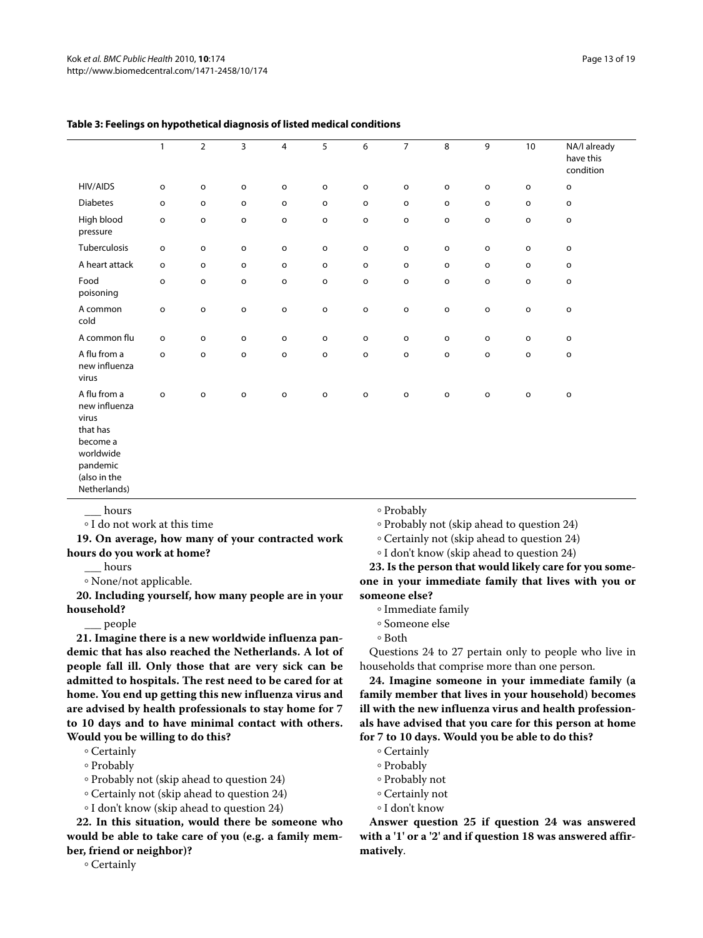|                                                                                                                         | $\mathbf{1}$        | $\overline{2}$      | $\overline{3}$      | 4            | 5            | 6                   | $\overline{7}$ | 8                   | 9                   | $10\,$       | NA/I already<br>have this<br>condition |
|-------------------------------------------------------------------------------------------------------------------------|---------------------|---------------------|---------------------|--------------|--------------|---------------------|----------------|---------------------|---------------------|--------------|----------------------------------------|
| <b>HIV/AIDS</b>                                                                                                         | $\mathsf{o}$        | $\mathsf{o}$        | $\mathsf{o}$        | $\mathsf{o}$ | $\mathsf{o}$ | $\mathsf{o}$        | $\mathsf{o}$   | $\mathsf{o}$        | $\mathsf{o}$        | $\mathsf{o}$ | $\mathsf{o}$                           |
| <b>Diabetes</b>                                                                                                         | o                   | $\mathsf{o}$        | $\mathsf{o}$        | $\mathsf{o}$ | $\mathsf{o}$ | $\mathsf{o}\xspace$ | $\mathbf{o}$   | $\mathsf{o}$        | $\mathsf{o}$        | $\mathsf{o}$ | $\mathsf{o}$                           |
| High blood<br>pressure                                                                                                  | $\mathsf{o}\xspace$ | $\mathsf{o}$        | $\mathsf{o}\xspace$ | $\mathsf{o}$ | $\mathsf{o}$ | $\mathsf{o}\xspace$ | $\mathsf{o}$   | $\mathsf{o}\xspace$ | $\mathsf{o}\xspace$ | $\mathsf{o}$ | $\mathsf{o}$                           |
| Tuberculosis                                                                                                            | $\mathsf{o}$        | $\mathsf{o}$        | $\mathsf{o}$        | $\mathsf{o}$ | $\mathsf{o}$ | $\mathsf{o}\xspace$ | $\mathbf{o}$   | $\mathsf{o}$        | $\mathsf{o}$        | $\mathsf{o}$ | $\mathsf{o}$                           |
| A heart attack                                                                                                          | $\mathsf{o}\xspace$ | $\mathsf{o}$        | $\mathsf{o}$        | o            | $\mathsf{o}$ | $\mathsf{o}\xspace$ | $\mathbf{o}$   | $\mathsf{o}$        | $\mathsf{o}\xspace$ | $\mathsf{o}$ | $\mathsf{o}\xspace$                    |
| Food<br>poisoning                                                                                                       | o                   | $\mathsf{o}\xspace$ | $\mathsf{o}$        | $\mathsf{o}$ | $\mathsf{o}$ | $\mathsf{o}\xspace$ | $\mathbf{o}$   | $\mathsf{o}$        | $\mathsf{o}$        | $\mathsf{o}$ | $\mathsf{o}$                           |
| A common<br>cold                                                                                                        | o                   | $\mathsf{o}$        | $\mathsf{o}$        | $\mathsf{o}$ | $\mathsf{o}$ | $\mathsf{o}$        | $\mathbf{o}$   | $\mathsf{o}$        | $\mathsf{o}$        | $\mathbf{o}$ | $\mathsf{o}$                           |
| A common flu                                                                                                            | $\mathsf{o}\xspace$ | $\mathsf{o}$        | $\mathsf{o}\xspace$ | $\mathsf{o}$ | $\mathsf{o}$ | $\mathsf{o}\xspace$ | $\mathsf{o}$   | $\mathsf{o}$        | $\mathsf{o}$        | $\mathsf{o}$ | $\mathsf{o}$                           |
| A flu from a<br>new influenza<br>virus                                                                                  | o                   | $\mathsf{o}$        | $\mathsf{o}\xspace$ | $\mathsf{o}$ | $\mathsf{o}$ | $\mathsf{o}\xspace$ | $\mathbf{o}$   | $\mathsf{o}$        | $\mathsf{o}\xspace$ | $\mathsf{o}$ | $\mathsf{o}$                           |
| A flu from a<br>new influenza<br>virus<br>that has<br>become a<br>worldwide<br>pandemic<br>(also in the<br>Netherlands) | $\mathsf{o}$        | $\mathsf{o}$        | $\mathsf{o}\xspace$ | $\mathsf{o}$ | $\mathsf{o}$ | $\mathsf{o}\xspace$ | $\mathsf{o}$   | $\mathsf{o}\xspace$ | $\mathsf{o}\xspace$ | $\mathsf{o}$ | $\mathsf{o}$                           |

#### **Table 3: Feelings on hypothetical diagnosis of listed medical conditions**

\_\_\_ hours

 $\circ$  I do not work at this time

**19. On average, how many of your contracted work hours do you work at home?**

\_\_\_ hours

- None/not applicable.

**20. Including yourself, how many people are in your household?**

#### \_\_\_ people

**21. Imagine there is a new worldwide influenza pandemic that has also reached the Netherlands. A lot of people fall ill. Only those that are very sick can be admitted to hospitals. The rest need to be cared for at home. You end up getting this new influenza virus and are advised by health professionals to stay home for 7 to 10 days and to have minimal contact with others. Would you be willing to do this?**

- Certainly

- Probably

- Probably not (skip ahead to question 24)

- Certainly not (skip ahead to question 24)

- I don't know (skip ahead to question 24)

**22. In this situation, would there be someone who would be able to take care of you (e.g. a family member, friend or neighbor)?**

- Probably

- Probably not (skip ahead to question 24)

- Certainly not (skip ahead to question 24)

- I don't know (skip ahead to question 24)

**23. Is the person that would likely care for you someone in your immediate family that lives with you or someone else?**

- Immediate family

- Someone else
- $\circ$  Both

Questions 24 to 27 pertain only to people who live in households that comprise more than one person.

**24. Imagine someone in your immediate family (a family member that lives in your household) becomes ill with the new influenza virus and health professionals have advised that you care for this person at home for 7 to 10 days. Would you be able to do this?**

- <sup>o</sup> Certainly
- Probably
- Probably not
- Certainly not
- I don't know

**Answer question 25 if question 24 was answered with a '1' or a '2' and if question 18 was answered affirmatively**.

- Certainly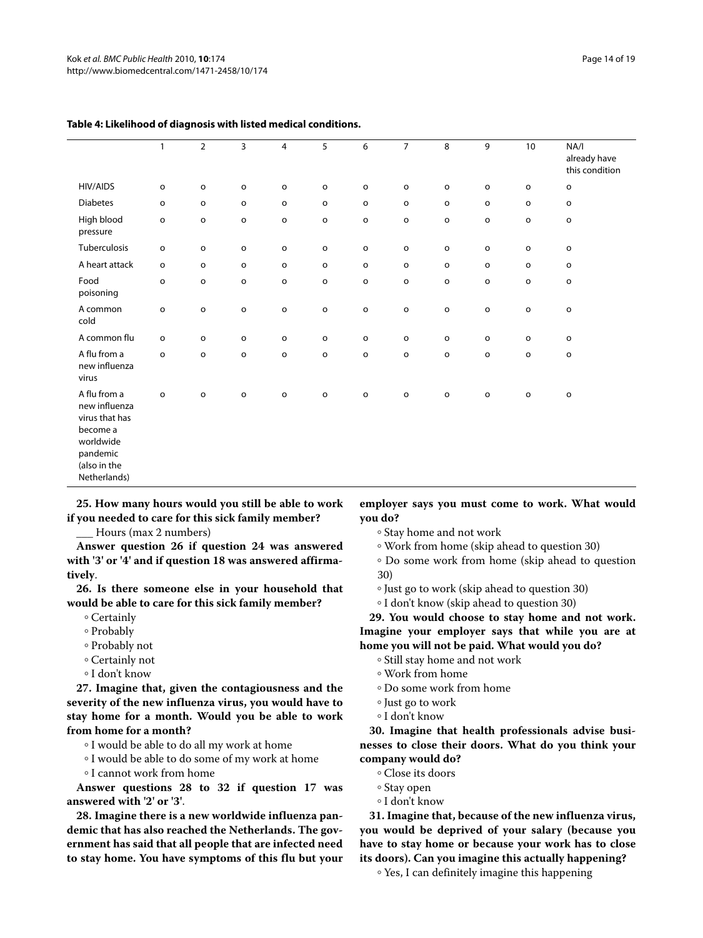|                                                                                                                      | $\mathbf{1}$        | $\overline{2}$ | $\overline{3}$ | $\overline{4}$ | 5            | 6                   | $\overline{7}$ | 8                   | 9                   | 10           | NA/I<br>already have |
|----------------------------------------------------------------------------------------------------------------------|---------------------|----------------|----------------|----------------|--------------|---------------------|----------------|---------------------|---------------------|--------------|----------------------|
|                                                                                                                      |                     |                |                |                |              |                     |                |                     |                     |              | this condition       |
| HIV/AIDS                                                                                                             | $\mathsf{o}\xspace$ | $\mathsf{o}$   | $\mathsf{o}$   | $\mathsf{o}$   | $\mathsf{o}$ | $\mathsf{o}\xspace$ | $\mathbf{o}$   | $\mathsf{o}\xspace$ | $\mathsf{o}$        | $\mathsf{o}$ | $\mathsf{o}$         |
| <b>Diabetes</b>                                                                                                      | $\mathsf{o}$        | $\mathbf{o}$   | $\mathsf{o}$   | $\mathsf{o}$   | $\mathsf{o}$ | $\mathsf{o}$        | $\mathbf{o}$   | $\mathsf{o}$        | $\mathsf{o}$        | $\mathsf{o}$ | $\mathsf{o}$         |
| High blood<br>pressure                                                                                               | $\mathsf{o}$        | $\mathsf{o}$   | $\mathsf{o}$   | $\mathsf{o}$   | $\mathsf{o}$ | $\mathsf{o}\xspace$ | $\mathbf{o}$   | $\mathsf{o}$        | $\mathsf{o}\xspace$ | $\mathsf{o}$ | $\mathsf{o}$         |
| Tuberculosis                                                                                                         | $\mathsf{o}\xspace$ | $\mathbf{o}$   | $\mathsf{o}$   | $\mathsf{o}$   | $\mathsf{o}$ | $\mathsf{o}$        | $\mathbf{o}$   | $\mathsf{o}$        | $\mathsf{o}$        | $\mathsf{o}$ | $\mathsf{o}$         |
| A heart attack                                                                                                       | $\mathsf{o}$        | $\mathsf{o}$   | $\mathsf{o}$   | $\mathsf{o}$   | $\mathsf{o}$ | $\mathsf{o}$        | $\mathsf{o}$   | $\mathsf{o}$        | $\mathsf{o}$        | $\mathsf{o}$ | $\mathsf{o}$         |
| Food<br>poisoning                                                                                                    | $\mathsf{o}$        | $\mathsf{o}$   | $\mathsf{o}$   | $\mathsf{o}$   | $\mathsf{o}$ | $\mathsf{o}\xspace$ | $\mathsf{o}$   | $\mathsf{o}$        | $\mathsf{o}$        | $\mathsf{o}$ | $\mathsf{o}$         |
| A common<br>cold                                                                                                     | $\mathsf{o}$        | $\mathsf{o}$   | $\mathsf{o}$   | $\mathsf{o}$   | $\mathbf{o}$ | $\mathsf{o}\xspace$ | $\mathsf{o}$   | $\mathsf{o}$        | $\mathsf{o}$        | $\mathsf{o}$ | $\mathsf{o}$         |
| A common flu                                                                                                         | $\mathsf{o}\xspace$ | $\mathsf{o}$   | $\mathsf{o}$   | $\mathsf{o}$   | $\mathsf{o}$ | $\mathsf{o}$        | $\mathsf{o}$   | $\mathsf{o}$        | $\mathsf{o}$        | $\mathsf{o}$ | $\mathsf{o}\xspace$  |
| A flu from a<br>new influenza<br>virus                                                                               | $\mathsf{o}\xspace$ | $\circ$        | $\mathsf{o}$   | $\mathsf{o}$   | $\mathbf{o}$ | $\mathsf{o}\xspace$ | $\mathbf{o}$   | $\mathsf{o}$        | $\mathsf{o}$        | $\mathsf{o}$ | $\mathsf{o}\xspace$  |
| A flu from a<br>new influenza<br>virus that has<br>become a<br>worldwide<br>pandemic<br>(also in the<br>Netherlands) | $\mathsf{o}$        | $\mathsf{o}$   | $\mathsf{o}$   | $\mathsf{o}$   | $\mathbf{o}$ | $\mathsf{o}$        | $\mathsf{o}$   | $\mathsf{o}$        | $\mathsf{o}$        | o            | $\mathsf{o}$         |

#### **Table 4: Likelihood of diagnosis with listed medical conditions.**

**25. How many hours would you still be able to work if you needed to care for this sick family member?** 

\_\_\_ Hours (max 2 numbers)

**Answer question 26 if question 24 was answered with '3' or '4' and if question 18 was answered affirmatively**.

**26. Is there someone else in your household that would be able to care for this sick family member?**

- Certainly
- Probably
- Probably not
- Certainly not
- ∘ I don't know

**27. Imagine that, given the contagiousness and the severity of the new influenza virus, you would have to stay home for a month. Would you be able to work from home for a month?**

- I would be able to do all my work at home

- I would be able to do some of my work at home

- I cannot work from home

**Answer questions 28 to 32 if question 17 was answered with '2' or '3'**.

**28. Imagine there is a new worldwide influenza pandemic that has also reached the Netherlands. The government has said that all people that are infected need to stay home. You have symptoms of this flu but your**

#### **employer says you must come to work. What would you do?**

- Stay home and not work
- Work from home (skip ahead to question 30)
- Do some work from home (skip ahead to question 30)
- Just go to work (skip ahead to question 30)

- I don't know (skip ahead to question 30)

**29. You would choose to stay home and not work. Imagine your employer says that while you are at home you will not be paid. What would you do?**

- Still stay home and not work
- Work from home
- Do some work from home
- Just go to work
- I don't know

**30. Imagine that health professionals advise businesses to close their doors. What do you think your company would do?**

- Close its doors
- Stay open
- I don't know

**31. Imagine that, because of the new influenza virus, you would be deprived of your salary (because you have to stay home or because your work has to close its doors). Can you imagine this actually happening?**

- Yes, I can definitely imagine this happening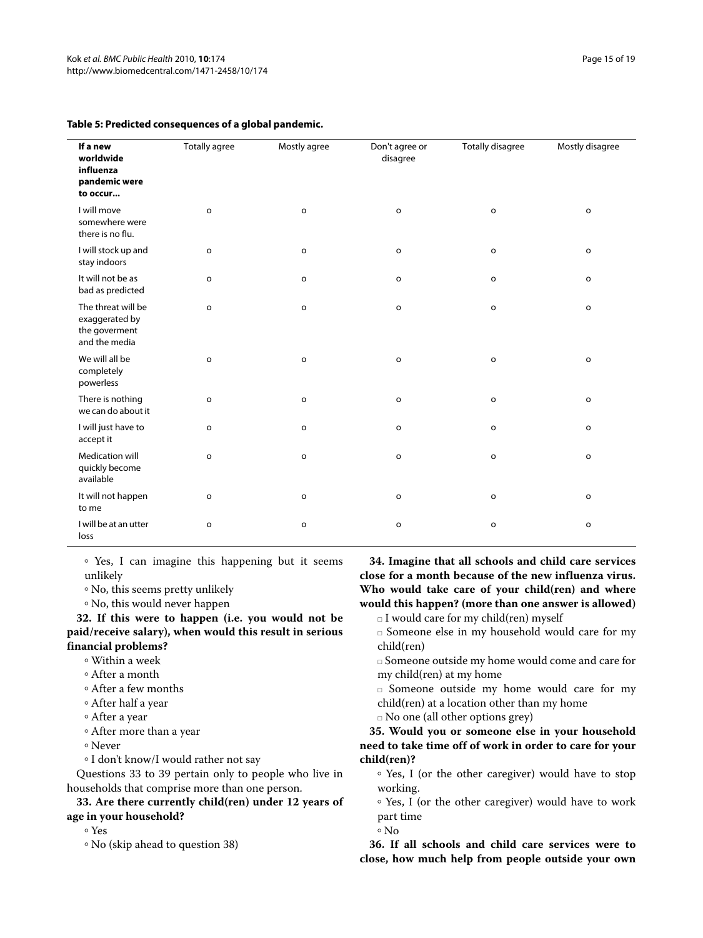| If a new<br>worldwide<br>influenza<br>pandemic were<br>to occur        | <b>Totally agree</b> | Mostly agree        | Don't agree or<br>disagree | <b>Totally disagree</b> | Mostly disagree     |
|------------------------------------------------------------------------|----------------------|---------------------|----------------------------|-------------------------|---------------------|
| I will move<br>somewhere were<br>there is no flu.                      | $\mathsf{o}$         | $\mathsf{o}\xspace$ | $\mathsf{o}$               | o                       | $\mathsf{o}$        |
| I will stock up and<br>stay indoors                                    | $\mathsf{o}$         | $\mathsf{o}$        | $\mathsf{o}$               | $\mathsf{o}\xspace$     | $\mathsf{o}$        |
| It will not be as<br>bad as predicted                                  | $\mathsf{o}$         | $\mathsf{o}$        | $\mathsf{o}$               | $\circ$                 | $\mathsf{o}\xspace$ |
| The threat will be<br>exaggerated by<br>the goverment<br>and the media | $\mathsf{o}$         | $\mathsf{o}$        | $\mathsf{o}$               | $\mathsf{o}\xspace$     | $\mathsf{o}\xspace$ |
| We will all be<br>completely<br>powerless                              | $\mathsf{o}$         | $\mathsf{o}$        | $\mathsf{o}$               | $\mathsf{o}$            | $\mathsf{o}$        |
| There is nothing<br>we can do about it                                 | $\mathsf{o}$         | $\mathsf{o}$        | $\mathsf{o}$               | $\mathsf{o}\xspace$     | $\mathsf{o}\xspace$ |
| I will just have to<br>accept it                                       | $\mathbf{o}$         | $\mathsf{o}$        | $\mathsf{o}$               | o                       | o                   |
| <b>Medication will</b><br>quickly become<br>available                  | $\mathsf{o}$         | $\mathsf{o}\xspace$ | $\mathsf{o}$               | $\mathsf{o}\xspace$     | $\mathsf{o}$        |
| It will not happen<br>to me                                            | $\mathsf{o}$         | $\circ$             | $\mathsf{o}$               | $\circ$                 | $\mathsf{o}\xspace$ |
| I will be at an utter<br>loss                                          | $\mathsf{o}$         | $\mathsf{o}$        | $\mathbf{o}$               | $\mathsf{o}$            | $\mathbf{o}$        |

#### **Table 5: Predicted consequences of a global pandemic.**

- Yes, I can imagine this happening but it seems unlikely

- No, this seems pretty unlikely

- No, this would never happen

**32. If this were to happen (i.e. you would not be paid/receive salary), when would this result in serious financial problems?**

- $\circ$  Within a week
- $\circ$  After a month
- o After a few months
- After half a year
- After a year
- After more than a year
- **o** Never
- I don't know/I would rather not say

Questions 33 to 39 pertain only to people who live in households that comprise more than one person.

### **33. Are there currently child(ren) under 12 years of age in your household?**

- Yes
- No (skip ahead to question 38)

**34. Imagine that all schools and child care services close for a month because of the new influenza virus. Who would take care of your child(ren) and where would this happen? (more than one answer is allowed)**

 $\Box$  I would care for my child(ren) myself

- Someone else in my household would care for my child(ren)
- Someone outside my home would come and care for my child(ren) at my home
- Someone outside my home would care for my child(ren) at a location other than my home
- $\Box$  No one (all other options grey)

**35. Would you or someone else in your household need to take time off of work in order to care for your child(ren)?**

- Yes, I (or the other caregiver) would have to stop working.
- Yes, I (or the other caregiver) would have to work part time

 $\circ$  No

**36. If all schools and child care services were to close, how much help from people outside your own**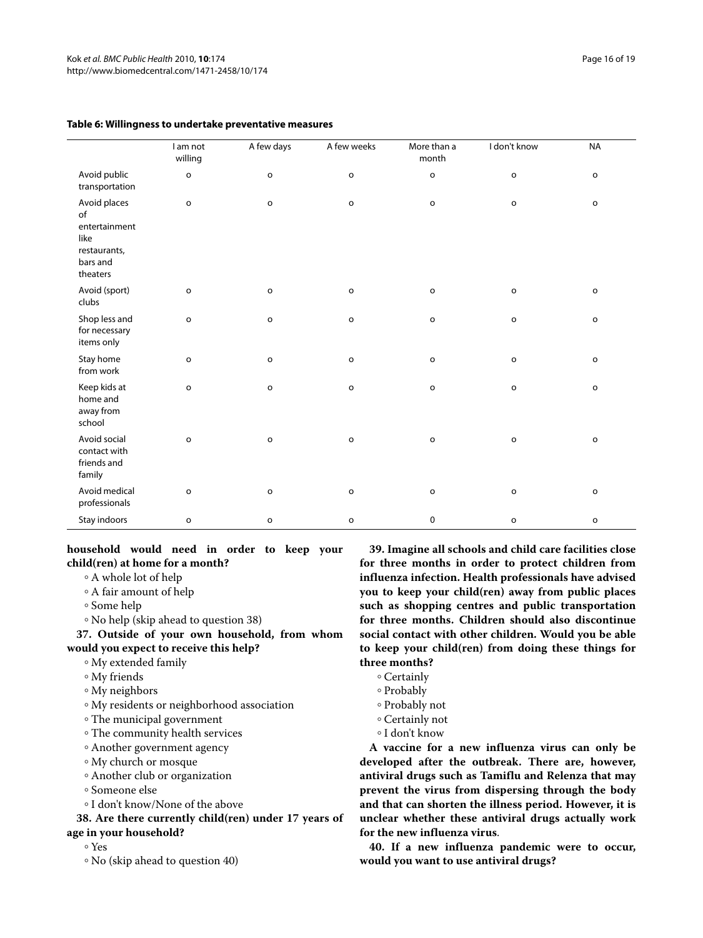|                                                                                     | I am not<br>willing | A few days   | A few weeks  | More than a<br>month | I don't know | <b>NA</b>           |
|-------------------------------------------------------------------------------------|---------------------|--------------|--------------|----------------------|--------------|---------------------|
| Avoid public<br>transportation                                                      | $\mathsf{o}$        | $\mathsf{o}$ | $\mathsf{o}$ | $\mathsf{o}$         | $\mathsf{o}$ | $\mathsf{o}$        |
| Avoid places<br>of<br>entertainment<br>like<br>restaurants,<br>bars and<br>theaters | $\mathsf{o}$        | $\mathbf{o}$ | $\mathsf{o}$ | $\mathsf{o}$         | $\mathbf{o}$ | $\mathsf{o}$        |
| Avoid (sport)<br>clubs                                                              | $\mathsf{o}$        | $\mathbf{o}$ | $\mathsf{o}$ | $\mathsf{o}$         | $\mathbf{o}$ | $\mathsf{o}\xspace$ |
| Shop less and<br>for necessary<br>items only                                        | $\mathsf{o}$        | $\mathsf{o}$ | $\mathsf{o}$ | $\mathsf{o}$         | $\mathbf{o}$ | $\mathsf{o}$        |
| Stay home<br>from work                                                              | $\mathsf{o}$        | $\mathbf{o}$ | $\mathsf{o}$ | $\mathsf{o}$         | $\mathsf{o}$ | $\mathsf{o}\xspace$ |
| Keep kids at<br>home and<br>away from<br>school                                     | $\mathsf{o}$        | $\mathbf{o}$ | $\mathsf{o}$ | $\mathsf{o}$         | $\mathbf{o}$ | $\mathsf{o}\xspace$ |
| Avoid social<br>contact with<br>friends and<br>family                               | $\mathsf{o}$        | $\mathbf{o}$ | $\mathsf{o}$ | $\mathsf{o}$         | $\mathsf{o}$ | $\mathsf{o}\xspace$ |
| Avoid medical<br>professionals                                                      | $\mathsf{o}$        | $\mathsf{o}$ | $\mathsf{o}$ | $\mathsf{o}$         | $\mathsf{o}$ | $\mathsf{o}\xspace$ |
| Stay indoors                                                                        | $\mathsf{o}$        | $\mathsf{o}$ | $\mathbf{o}$ | $\pmb{0}$            | $\mathbf{o}$ | $\mathsf{o}$        |

#### **Table 6: Willingness to undertake preventative measures**

**household would need in order to keep your child(ren) at home for a month?**

- <sup>o</sup> A whole lot of help
- $\circ$  A fair amount of help
- Some help
- No help (skip ahead to question 38)

**37. Outside of your own household, from whom would you expect to receive this help?**

- <sup>o</sup> My extended family
- <sup>o</sup> My friends
- My neighbors
- My residents or neighborhood association
- The municipal government
- The community health services
- **Another government agency**
- My church or mosque
- Another club or organization
- Someone else
- I don't know/None of the above

**38. Are there currently child(ren) under 17 years of age in your household?**

- Yes

- No (skip ahead to question 40)

**39. Imagine all schools and child care facilities close for three months in order to protect children from influenza infection. Health professionals have advised you to keep your child(ren) away from public places such as shopping centres and public transportation for three months. Children should also discontinue social contact with other children. Would you be able to keep your child(ren) from doing these things for three months?**

- <sup>o</sup> Certainly
- Probably
- Probably not
- Certainly not
- I don't know

**A vaccine for a new influenza virus can only be developed after the outbreak. There are, however, antiviral drugs such as Tamiflu and Relenza that may prevent the virus from dispersing through the body and that can shorten the illness period. However, it is unclear whether these antiviral drugs actually work for the new influenza virus**.

**40. If a new influenza pandemic were to occur, would you want to use antiviral drugs?**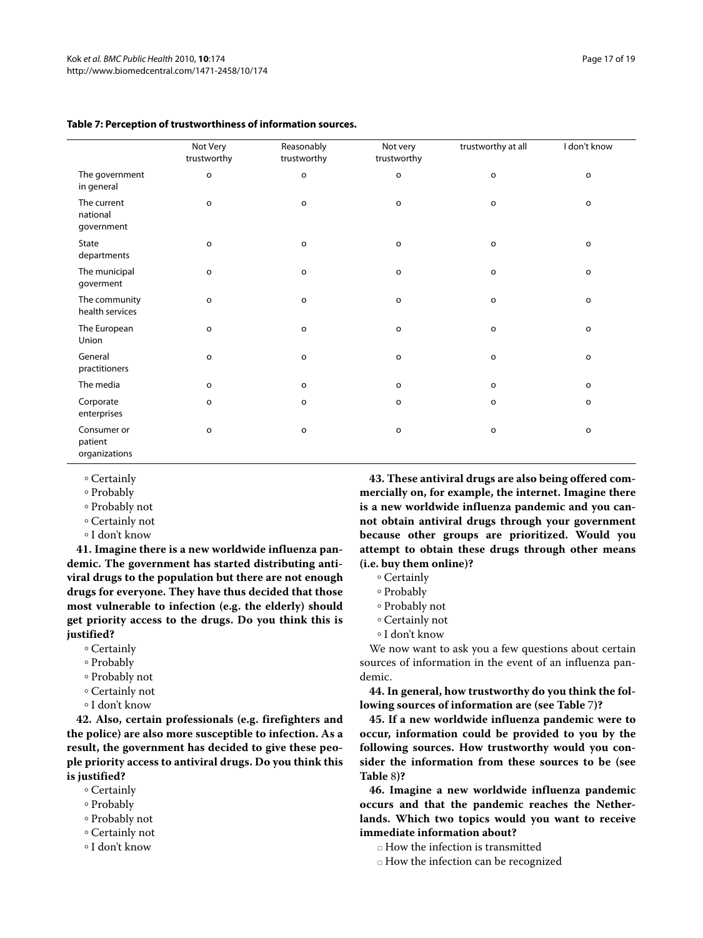|                                         | Not Very<br>trustworthy | Reasonably<br>trustworthy | Not very<br>trustworthy | trustworthy at all | I don't know |
|-----------------------------------------|-------------------------|---------------------------|-------------------------|--------------------|--------------|
| The government<br>in general            | $\mathsf{o}$            | $\mathsf{o}$              | $\mathsf{o}$            | $\circ$            | $\circ$      |
| The current<br>national<br>government   | $\mathsf{o}$            | $\mathsf{o}$              | $\mathsf{o}$            | $\mathsf{o}$       | $\circ$      |
| State<br>departments                    | $\circ$                 | $\mathsf{o}$              | $\mathsf{o}$            | $\mathsf{o}$       | $\circ$      |
| The municipal<br>goverment              | $\mathsf{o}$            | $\mathsf{o}$              | $\mathsf{o}$            | $\mathsf{o}$       | $\mathsf{o}$ |
| The community<br>health services        | $\mathsf{o}$            | $\mathsf{o}$              | $\mathsf{o}$            | $\circ$            | $\circ$      |
| The European<br>Union                   | $\mathsf{o}$            | $\mathsf{o}\xspace$       | $\mathsf{o}$            | $\circ$            | $\circ$      |
| General<br>practitioners                | $\mathsf{o}$            | $\mathsf{o}$              | $\mathsf{o}$            | $\circ$            | $\mathsf{o}$ |
| The media                               | $\mathsf{o}$            | $\mathsf{o}$              | $\mathsf{o}$            | $\circ$            | $\circ$      |
| Corporate<br>enterprises                | $\mathsf{o}$            | $\mathsf{o}\xspace$       | $\mathsf{o}$            | $\circ$            | $\circ$      |
| Consumer or<br>patient<br>organizations | $\mathsf{o}$            | $\mathsf{o}$              | $\mathsf{o}$            | $\circ$            | $\circ$      |

#### **Table 7: Perception of trustworthiness of information sources.**

- <sup>o</sup> Certainly
- Probably
- Probably not
- Certainly not
- ∘ I don't know

**41. Imagine there is a new worldwide influenza pandemic. The government has started distributing antiviral drugs to the population but there are not enough drugs for everyone. They have thus decided that those most vulnerable to infection (e.g. the elderly) should get priority access to the drugs. Do you think this is justified?**

- <sup>o</sup> Certainly
- Probably
- Probably not
- Certainly not
- ∘ I don't know

**42. Also, certain professionals (e.g. firefighters and the police) are also more susceptible to infection. As a result, the government has decided to give these people priority access to antiviral drugs. Do you think this is justified?**

- Certainly
- Probably
- Probably not
- Certainly not
- ∘ I don't know

**43. These antiviral drugs are also being offered commercially on, for example, the internet. Imagine there is a new worldwide influenza pandemic and you cannot obtain antiviral drugs through your government because other groups are prioritized. Would you attempt to obtain these drugs through other means (i.e. buy them online)?**

- <sup>o</sup> Certainly
- Probably
- Probably not
- Certainly not
- I don't know

We now want to ask you a few questions about certain sources of information in the event of an influenza pandemic.

**44. In general, how trustworthy do you think the following sources of information are (see Table** 7**)?**

**45. If a new worldwide influenza pandemic were to occur, information could be provided to you by the following sources. How trustworthy would you consider the information from these sources to be (see Table** 8**)?**

**46. Imagine a new worldwide influenza pandemic occurs and that the pandemic reaches the Netherlands. Which two topics would you want to receive immediate information about?**

 $\Box$  How the infection is transmitted

 $\Box$  How the infection can be recognized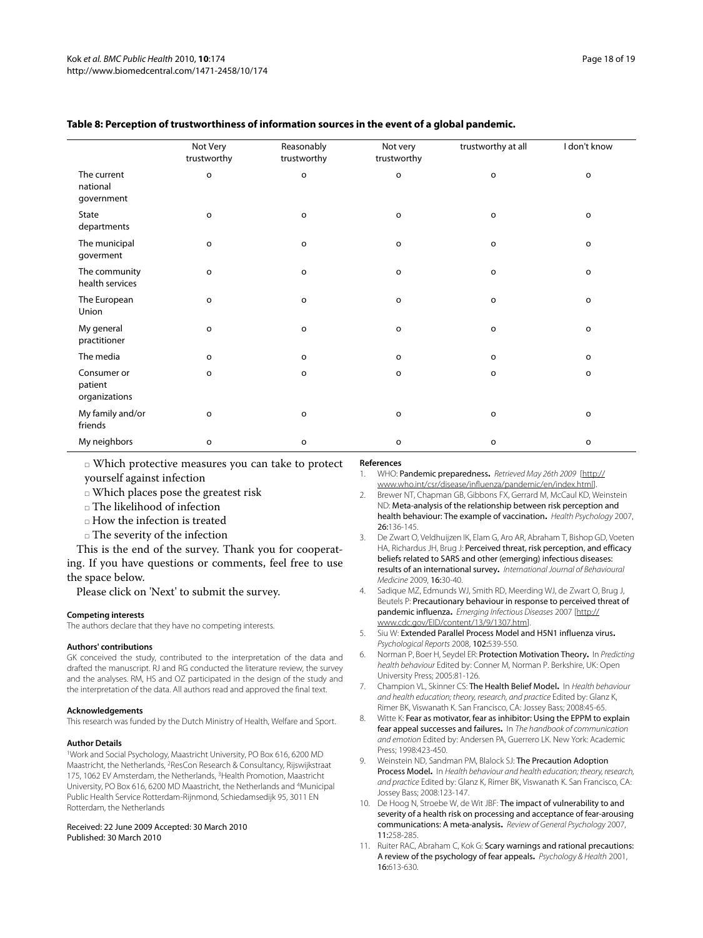|                                         | Not Very<br>trustworthy | Reasonably<br>trustworthy | Not very<br>trustworthy | trustworthy at all | I don't know |
|-----------------------------------------|-------------------------|---------------------------|-------------------------|--------------------|--------------|
| The current<br>national<br>government   | $\mathsf{o}$            | $\mathsf{o}$              | $\mathsf{o}\,$          | $\mathsf{o}\,$     | $\mathsf{o}$ |
| State<br>departments                    | $\mathsf{o}$            | $\mathsf{o}$              | $\mathsf{o}\xspace$     | $\circ$            | $\circ$      |
| The municipal<br>goverment              | $\mathsf{o}$            | $\mathsf{o}$              | $\mathsf{o}\xspace$     | $\circ$            | $\mathsf{o}$ |
| The community<br>health services        | $\mathsf{o}$            | $\mathsf{o}$              | $\mathsf{o}\xspace$     | $\circ$            | $\circ$      |
| The European<br>Union                   | $\mathsf{o}$            | $\circ$                   | $\mathsf{o}\xspace$     | $\circ$            | $\circ$      |
| My general<br>practitioner              | $\mathsf{o}$            | $\mathsf{o}$              | $\mathsf{o}\xspace$     | $\mathsf{o}\,$     | $\circ$      |
| The media                               | $\mathsf{o}$            | o                         | $\mathsf{o}\xspace$     | $\circ$            | $\circ$      |
| Consumer or<br>patient<br>organizations | $\mathsf{o}\xspace$     | o                         | $\mathsf{o}\xspace$     | o                  | $\circ$      |
| My family and/or<br>friends             | $\mathsf{o}\xspace$     | $\circ$                   | $\circ$                 | $\circ$            | $\circ$      |
| My neighbors                            | $\mathsf{o}\xspace$     | $\mathsf{o}$              | $\mathsf{o}$            | $\mathsf{o}\,$     | $\mathsf{o}$ |

#### **Table 8: Perception of trustworthiness of information sources in the event of a global pandemic.**

 Which protective measures you can take to protect yourself against infection **References**

- Which places pose the greatest risk
- The likelihood of infection
- $\square$  <br> How the infection is treated
- $\Box$  The severity of the infection

This is the end of the survey. Thank you for cooperating. If you have questions or comments, feel free to use the space below.

Please click on 'Next' to submit the survey.

#### **Competing interests**

The authors declare that they have no competing interests.

#### **Authors' contributions**

GK conceived the study, contributed to the interpretation of the data and drafted the manuscript. RJ and RG conducted the literature review, the survey and the analyses. RM, HS and OZ participated in the design of the study and the interpretation of the data. All authors read and approved the final text.

#### **Acknowledgements**

This research was funded by the Dutch Ministry of Health, Welfare and Sport.

#### **Author Details**

1Work and Social Psychology, Maastricht University, PO Box 616, 6200 MD Maastricht, the Netherlands, 2ResCon Research & Consultancy, Rijswijkstraat 175, 1062 EV Amsterdam, the Netherlands, 3Health Promotion, Maastricht University, PO Box 616, 6200 MD Maastricht, the Netherlands and 4Municipal Public Health Service Rotterdam-Rijnmond, Schiedamsedijk 95, 3011 EN Rotterdam, the Netherlands

Received: 22 June 2009 Accepted: 30 March 2010 Published: 30 March 2010

- 1. WHO: Pandemic preparedness**.** Retrieved May 26th 2009 [http:// www.who.int/csr/disease/influenza/pandemic/en/index.html].
- 2. Brewer NT, Chapman GB, Gibbons FX, Gerrard M, McCaul KD, Weinstein ND: Meta-analysis of the relationship between risk perception and health behaviour: The example of vaccination**.** Health Psychology 2007, 26:136-145.
- 3. De Zwart O, Veldhuijzen IK, Elam G, Aro AR, Abraham T, Bishop GD, Voeten HA, Richardus JH, Brug J: Perceived threat, risk perception, and efficacy beliefs related to SARS and other (emerging) infectious diseases: results of an international survey**.** International Journal of Behavioural Medicine 2009, 16:30-40.
- 4. Sadique MZ, Edmunds WJ, Smith RD, Meerding WJ, de Zwart O, Brug J, Beutels P: Precautionary behaviour in response to perceived threat of pandemic influenza**.** Emerging Infectious Diseases 2007 [http:// www.cdc.gov/EID/content/13/9/1307.htm].
- 5. Siu W: Extended Parallel Process Model and H5N1 influenza virus**.** Psychological Reports 2008, 102:539-550.
- 6. Norman P, Boer H, Seydel ER: Protection Motivation Theory**.** In Predicting health behaviour Edited by: Conner M, Norman P. Berkshire, UK: Open University Press; 2005:81-126.
- 7. Champion VL, Skinner CS: The Health Belief Model**.** In Health behaviour and health education; theory, research, and practice Edited by: Glanz K, Rimer BK, Viswanath K. San Francisco, CA: Jossey Bass; 2008:45-65.
- Witte K: Fear as motivator, fear as inhibitor: Using the EPPM to explain fear appeal successes and failures**.** In The handbook of communication and emotion Edited by: Andersen PA, Guerrero LK. New York: Academic Press; 1998:423-450.
- 9. Weinstein ND, Sandman PM, Blalock SJ: The Precaution Adoption Process Model**.** In Health behaviour and health education; theory, research, and practice Edited by: Glanz K, Rimer BK, Viswanath K. San Francisco, CA: Jossey Bass; 2008:123-147.
- 10. De Hoog N, Stroebe W, de Wit JBF: The impact of vulnerability to and severity of a health risk on processing and acceptance of fear-arousing communications: A meta-analysis**.** Review of General Psychology 2007, 11:258-285.
- 11. Ruiter RAC, Abraham C, Kok G: Scary warnings and rational precautions: A review of the psychology of fear appeals**.** Psychology & Health 2001, 16:613-630.